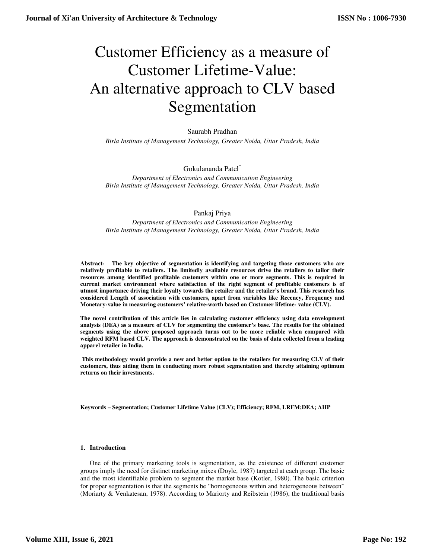# Customer Efficiency as a measure of Customer Lifetime-Value: An alternative approach to CLV based Segmentation

# Saurabh Pradhan

*Birla Institute of Management Technology, Greater Noida, Uttar Pradesh, India* 

# Gokulananda Patel\*

*Department of Electronics and Communication Engineering Birla Institute of Management Technology, Greater Noida, Uttar Pradesh, India* 

# Pankaj Priya

*Department of Electronics and Communication Engineering Birla Institute of Management Technology, Greater Noida, Uttar Pradesh, India* 

**Abstract- The key objective of segmentation is identifying and targeting those customers who are relatively profitable to retailers. The limitedly available resources drive the retailers to tailor their resources among identified profitable customers within one or more segments. This is required in current market environment where satisfaction of the right segment of profitable customers is of utmost importance driving their loyalty towards the retailer and the retailer's brand. This research has considered Length of association with customers, apart from variables like Recency, Frequency and Monetary-value in measuring customers' relative-worth based on Customer lifetime- value (CLV).** 

**The novel contribution of this article lies in calculating customer efficiency using data envelopment analysis (DEA) as a measure of CLV for segmenting the customer's base. The results for the obtained segments using the above proposed approach turns out to be more reliable when compared with weighted RFM based CLV. The approach is demonstrated on the basis of data collected from a leading apparel retailer in India.** 

 **This methodology would provide a new and better option to the retailers for measuring CLV of their customers, thus aiding them in conducting more robust segmentation and thereby attaining optimum returns on their investments.** 

**Keywords – Segmentation; Customer Lifetime Value (CLV); Efficiency; RFM, LRFM;DEA; AHP** 

#### **1. Introduction**

One of the primary marketing tools is segmentation, as the existence of different customer groups imply the need for distinct marketing mixes (Doyle, 1987) targeted at each group. The basic and the most identifiable problem to segment the market base (Kotler, 1980). The basic criterion for proper segmentation is that the segments be "homogeneous within and heterogeneous between" (Moriarty & Venkatesan, 1978). According to Mariorty and Reibstein (1986), the traditional basis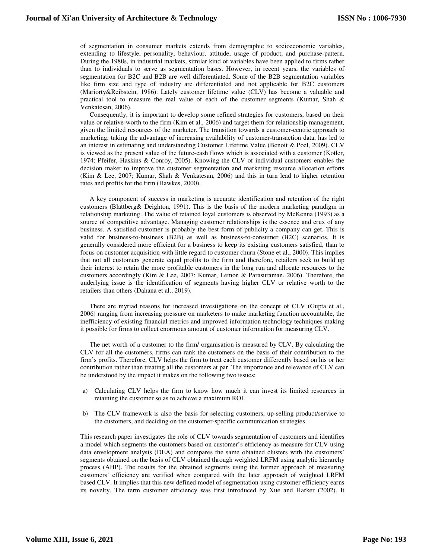of segmentation in consumer markets extends from demographic to socioeconomic variables, extending to lifestyle, personality, behaviour, attitude, usage of product, and purchase-pattern. During the 1980s, in industrial markets, similar kind of variables have been applied to firms rather than to individuals to serve as segmentation bases. However, in recent years, the variables of segmentation for B2C and B2B are well differentiated. Some of the B2B segmentation variables like firm size and type of industry are differentiated and not applicable for B2C customers (Mariorty&Reibstein, 1986). Lately customer lifetime value (CLV) has become a valuable and practical tool to measure the real value of each of the customer segments (Kumar, Shah & Venkatesan, 2006).

Consequently, it is important to develop some refined strategies for customers, based on their value or relative-worth to the firm (Kim et al., 2006) and target them for relationship management, given the limited resources of the marketer. The transition towards a customer-centric approach to marketing, taking the advantage of increasing availability of customer-transaction data, has led to an interest in estimating and understanding Customer Lifetime Value (Benoit & Poel, 2009). CLV is viewed as the present value of the future-cash flows which is associated with a customer (Kotler, 1974; Pfeifer, Haskins & Conroy, 2005). Knowing the CLV of individual customers enables the decision maker to improve the customer segmentation and marketing resource allocation efforts (Kim & Lee, 2007; Kumar, Shah & Venkatesan, 2006) and this in turn lead to higher retention rates and profits for the firm (Hawkes, 2000).

A key component of success in marketing is accurate identification and retention of the right customers (Blattberg& Deighton, 1991). This is the basis of the modern marketing paradigm in relationship marketing. The value of retained loyal customers is observed by McKenna (1993) as a source of competitive advantage. Managing customer relationships is the essence and crux of any business. A satisfied customer is probably the best form of publicity a company can get. This is valid for business-to-business (B2B) as well as business-to-consumer (B2C) scenarios. It is generally considered more efficient for a business to keep its existing customers satisfied, than to focus on customer acquisition with little regard to customer churn (Stone et al., 2000). This implies that not all customers generate equal profits to the firm and therefore, retailers seek to build up their interest to retain the more profitable customers in the long run and allocate resources to the customers accordingly (Kim & Lee, 2007; Kumar, Lemon & Parasuraman, 2006). Therefore, the underlying issue is the identification of segments having higher CLV or relative worth to the retailers than others (Dahana et al., 2019).

There are myriad reasons for increased investigations on the concept of CLV (Gupta et al., 2006) ranging from increasing pressure on marketers to make marketing function accountable, the inefficiency of existing financial metrics and improved information technology techniques making it possible for firms to collect enormous amount of customer information for measuring CLV.

The net worth of a customer to the firm/ organisation is measured by CLV. By calculating the CLV for all the customers, firms can rank the customers on the basis of their contribution to the firm's profits. Therefore, CLV helps the firm to treat each customer differently based on his or her contribution rather than treating all the customers at par. The importance and relevance of CLV can be understood by the impact it makes on the following two issues:

- a) Calculating CLV helps the firm to know how much it can invest its limited resources in retaining the customer so as to achieve a maximum ROI.
- b) The CLV framework is also the basis for selecting customers, up-selling product/service to the customers, and deciding on the customer-specific communication strategies

This research paper investigates the role of CLV towards segmentation of customers and identifies a model which segments the customers based on customer's efficiency as measure for CLV using data envelopment analysis (DEA) and compares the same obtained clusters with the customers' segments obtained on the basis of CLV obtained through weighted LRFM using analytic hierarchy process (AHP). The results for the obtained segments using the former approach of measuring customers' efficiency are verified when compared with the later approach of weighted LRFM based CLV. It implies that this new defined model of segmentation using customer efficiency earns its novelty. The term customer efficiency was first introduced by Xue and Harker (2002). It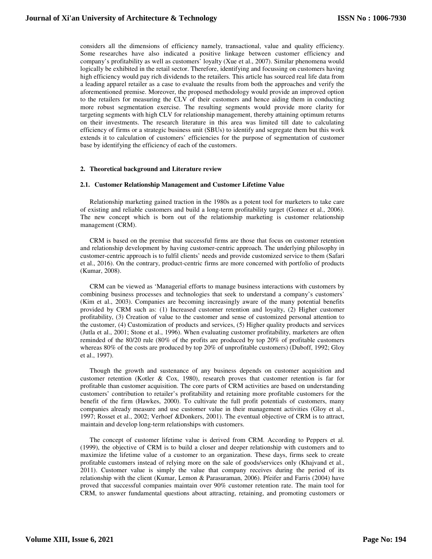considers all the dimensions of efficiency namely, transactional, value and quality efficiency. Some researches have also indicated a positive linkage between customer efficiency and company's profitability as well as customers' loyalty (Xue et al., 2007). Similar phenomena would logically be exhibited in the retail sector. Therefore, identifying and focussing on customers having high efficiency would pay rich dividends to the retailers. This article has sourced real life data from a leading apparel retailer as a case to evaluate the results from both the approaches and verify the aforementioned premise. Moreover, the proposed methodology would provide an improved option to the retailers for measuring the CLV of their customers and hence aiding them in conducting more robust segmentation exercise. The resulting segments would provide more clarity for targeting segments with high CLV for relationship management, thereby attaining optimum returns on their investments. The research literature in this area was limited till date to calculating efficiency of firms or a strategic business unit (SBUs) to identify and segregate them but this work extends it to calculation of customers' efficiencies for the purpose of segmentation of customer base by identifying the efficiency of each of the customers.

#### **2. Theoretical background and Literature review**

#### **2.1. Customer Relationship Management and Customer Lifetime Value**

Relationship marketing gained traction in the 1980s as a potent tool for marketers to take care of existing and reliable customers and build a long-term profitability target (Gomez et al., 2006). The new concept which is born out of the relationship marketing is customer relationship management (CRM).

CRM is based on the premise that successful firms are those that focus on customer retention and relationship development by having customer-centric approach. The underlying philosophy in customer-centric approach is to fulfil clients' needs and provide customized service to them (Safari et al., 2016). On the contrary, product-centric firms are more concerned with portfolio of products (Kumar, 2008).

CRM can be viewed as 'Managerial efforts to manage business interactions with customers by combining business processes and technologies that seek to understand a company's customers' (Kim et al., 2003). Companies are becoming increasingly aware of the many potential benefits provided by CRM such as: (1) Increased customer retention and loyalty, (2) Higher customer profitability, (3) Creation of value to the customer and sense of customized personal attention to the customer, (4) Customization of products and services, (5) Higher quality products and services (Jutla et al., 2001; Stone et al., 1996). When evaluating customer profitability, marketers are often reminded of the 80/20 rule (80% of the profits are produced by top 20% of profitable customers whereas 80% of the costs are produced by top 20% of unprofitable customers) (Duboff, 1992; Gloy et al., 1997).

Though the growth and sustenance of any business depends on customer acquisition and customer retention (Kotler & Cox, 1980), research proves that customer retention is far for profitable than customer acquisition. The core parts of CRM activities are based on understanding customers' contribution to retailer's profitability and retaining more profitable customers for the benefit of the firm (Hawkes, 2000). To cultivate the full profit potentials of customers, many companies already measure and use customer value in their management activities (Gloy et al., 1997; Rosset et al., 2002; Verhoef &Donkers, 2001). The eventual objective of CRM is to attract, maintain and develop long-term relationships with customers.

The concept of customer lifetime value is derived from CRM. According to Peppers et al. (1999), the objective of CRM is to build a closer and deeper relationship with customers and to maximize the lifetime value of a customer to an organization. These days, firms seek to create profitable customers instead of relying more on the sale of goods/services only (Khajvand et al., 2011). Customer value is simply the value that company receives during the period of its relationship with the client (Kumar, Lemon & Parasuraman, 2006). Pfeifer and Farris (2004) have proved that successful companies maintain over 90% customer retention rate. The main tool for CRM, to answer fundamental questions about attracting, retaining, and promoting customers or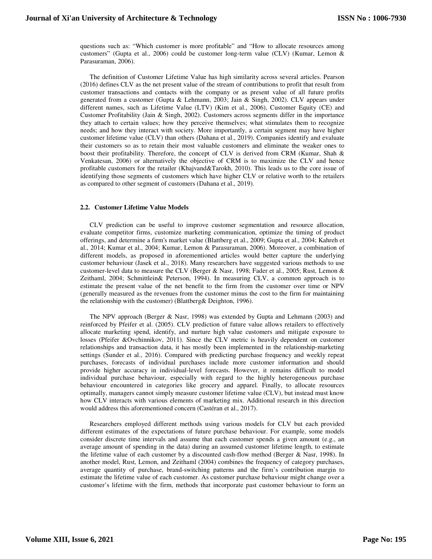questions such as: "Which customer is more profitable" and "How to allocate resources among customers" (Gupta et al., 2006) could be customer long-term value (CLV) (Kumar, Lemon & Parasuraman, 2006).

The definition of Customer Lifetime Value has high similarity across several articles. Pearson (2016) defines CLV as the net present value of the stream of contributions to profit that result from customer transactions and contacts with the company or as present value of all future profits generated from a customer (Gupta & Lehmann, 2003; Jain & Singh, 2002). CLV appears under different names, such as Lifetime Value (LTV) (Kim et al., 2006), Customer Equity (CE) and Customer Profitability (Jain & Singh, 2002). Customers across segments differ in the importance they attach to certain values; how they perceive themselves; what stimulates them to recognize needs; and how they interact with society. More importantly, a certain segment may have higher customer lifetime value (CLV) than others (Dahana et al., 2019). Companies identify and evaluate their customers so as to retain their most valuable customers and eliminate the weaker ones to boost their profitability. Therefore, the concept of CLV is derived from CRM (Kumar, Shah & Venkatesan, 2006) or alternatively the objective of CRM is to maximize the CLV and hence profitable customers for the retailer (Khajvand&Tarokh, 2010). This leads us to the core issue of identifying those segments of customers which have higher CLV or relative worth to the retailers as compared to other segment of customers (Dahana et al., 2019).

#### **2.2. Customer Lifetime Value Models**

CLV prediction can be useful to improve customer segmentation and resource allocation, evaluate competitor firms, customize marketing communication, optimize the timing of product offerings, and determine a firm's market value (Blattberg et al., 2009; Gupta et al., 2004; Kahreh et al., 2014; Kumar et al., 2004; Kumar, Lemon & Parasuraman, 2006). Moreover, a combination of different models, as proposed in aforementioned articles would better capture the underlying customer behaviour (Jasek et al., 2018). Many researchers have suggested various methods to use customer-level data to measure the CLV (Berger & Nasr, 1998; Fader et al., 2005; Rust, Lemon & Zeithaml, 2004; Schmittlein& Peterson, 1994). In measuring CLV, a common approach is to estimate the present value of the net benefit to the firm from the customer over time or NPV (generally measured as the revenues from the customer minus the cost to the firm for maintaining the relationship with the customer) (Blattberg& Deighton, 1996).

The NPV approach (Berger & Nasr, 1998) was extended by Gupta and Lehmann (2003) and reinforced by Pfeifer et al. (2005). CLV prediction of future value allows retailers to effectively allocate marketing spend, identify, and nurture high value customers and mitigate exposure to losses (Pfeifer &Ovchinnikov, 2011). Since the CLV metric is heavily dependent on customer relationships and transaction data, it has mostly been implemented in the relationship-marketing settings (Sunder et al., 2016). Compared with predicting purchase frequency and weekly repeat purchases, forecasts of individual purchases include more customer information and should provide higher accuracy in individual-level forecasts. However, it remains difficult to model individual purchase behaviour, especially with regard to the highly heterogeneous purchase behaviour encountered in categories like grocery and apparel. Finally, to allocate resources optimally, managers cannot simply measure customer lifetime value (CLV), but instead must know how CLV interacts with various elements of marketing mix. Additional research in this direction would address this aforementioned concern (Castéran et al., 2017).

Researchers employed different methods using various models for CLV but each provided different estimates of the expectations of future purchase behaviour. For example, some models consider discrete time intervals and assume that each customer spends a given amount (e.g., an average amount of spending in the data) during an assumed customer lifetime length, to estimate the lifetime value of each customer by a discounted cash-flow method (Berger & Nasr, 1998). In another model, Rust, Lemon, and Zeithaml (2004) combines the frequency of category purchases, average quantity of purchase, brand-switching patterns and the firm's contribution margin to estimate the lifetime value of each customer. As customer purchase behaviour might change over a customer's lifetime with the firm, methods that incorporate past customer behaviour to form an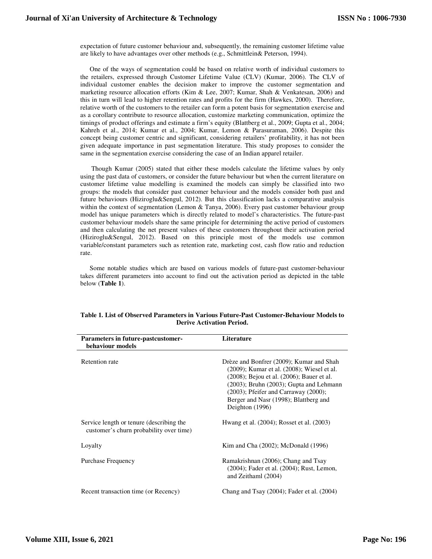expectation of future customer behaviour and, subsequently, the remaining customer lifetime value are likely to have advantages over other methods (e.g., Schmittlein& Peterson, 1994).

One of the ways of segmentation could be based on relative worth of individual customers to the retailers, expressed through Customer Lifetime Value (CLV) (Kumar, 2006). The CLV of individual customer enables the decision maker to improve the customer segmentation and marketing resource allocation efforts (Kim & Lee, 2007; Kumar, Shah & Venkatesan, 2006) and this in turn will lead to higher retention rates and profits for the firm (Hawkes, 2000). Therefore, relative worth of the customers to the retailer can form a potent basis for segmentation exercise and as a corollary contribute to resource allocation, customize marketing communication, optimize the timings of product offerings and estimate a firm's equity (Blattberg et al., 2009; Gupta et al., 2004; Kahreh et al., 2014; Kumar et al., 2004; Kumar, Lemon & Parasuraman, 2006). Despite this concept being customer centric and significant, considering retailers' profitability, it has not been given adequate importance in past segmentation literature. This study proposes to consider the same in the segmentation exercise considering the case of an Indian apparel retailer.

 Though Kumar (2005) stated that either these models calculate the lifetime values by only using the past data of customers, or consider the future behaviour but when the current literature on customer lifetime value modelling is examined the models can simply be classified into two groups: the models that consider past customer behaviour and the models consider both past and future behaviours (Hiziroglu&Sengul, 2012). But this classification lacks a comparative analysis within the context of segmentation (Lemon  $\&$  Tanya, 2006). Every past customer behaviour group model has unique parameters which is directly related to model's characteristics. The future-past customer behaviour models share the same principle for determining the active period of customers and then calculating the net present values of these customers throughout their activation period (Hiziroglu&Sengul, 2012). Based on this principle most of the models use common variable/constant parameters such as retention rate, marketing cost, cash flow ratio and reduction rate.

Some notable studies which are based on various models of future-past customer-behaviour takes different parameters into account to find out the activation period as depicted in the table below (**Table 1**).

| <b>Parameters in future-pastcustomer-</b><br>behaviour models                       | Literature                                                                                                                                                                                                                                                                                     |
|-------------------------------------------------------------------------------------|------------------------------------------------------------------------------------------------------------------------------------------------------------------------------------------------------------------------------------------------------------------------------------------------|
| Retention rate                                                                      | Drèze and Bonfrer (2009); Kumar and Shah<br>(2009); Kumar et al. (2008); Wiesel et al.<br>(2008); Bejou et al. (2006); Bauer et al.<br>$(2003)$ ; Bruhn $(2003)$ ; Gupta and Lehmann<br>$(2003)$ ; Pfeifer and Carraway $(2000)$ ;<br>Berger and Nasr (1998); Blattberg and<br>Deighton (1996) |
| Service length or tenure (describing the<br>customer's churn probability over time) | Hwang et al. (2004); Rosset et al. (2003)                                                                                                                                                                                                                                                      |
| Loyalty                                                                             | Kim and Cha $(2002)$ ; McDonald $(1996)$                                                                                                                                                                                                                                                       |
| Purchase Frequency                                                                  | Ramakrishnan (2006); Chang and Tsay<br>(2004); Fader et al. (2004); Rust, Lemon,<br>and Zeithaml (2004)                                                                                                                                                                                        |
| Recent transaction time (or Recency)                                                | Chang and Tsay $(2004)$ ; Fader et al. $(2004)$                                                                                                                                                                                                                                                |

# **Table 1. List of Observed Parameters in Various Future-Past Customer-Behaviour Models to Derive Activation Period.**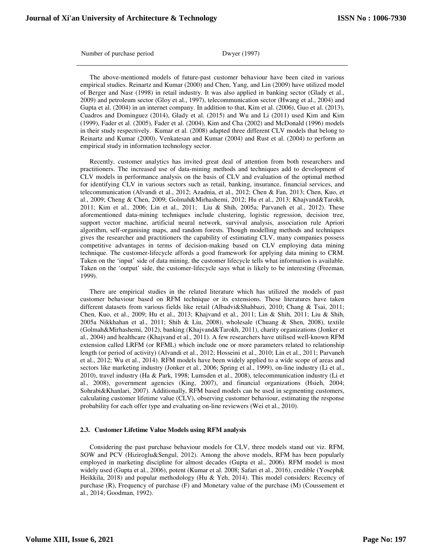Number of purchase period Dwyer (1997)

The above-mentioned models of future-past customer behaviour have been cited in various empirical studies. Reinartz and Kumar (2000) and Chen, Yang, and Lin (2009) have utilized model of Berger and Nasr (1998) in retail industry. It was also applied in banking sector (Glady et al., 2009) and petroleum sector (Gloy et al., 1997), telecommunication sector (Hwang et al., 2004) and Gupta et al. (2004) in an internet company. In addition to that, Kim et al. (2006), Guo et al. (2013), Cuadros and Dominguez (2014), Glady et al. (2015) and Wu and Li (2011) used Kim and Kim (1999), Fader et al. (2005), Fader et al. (2004), Kim and Cha (2002) and McDonald (1996) models in their study respectively. Kumar et al. (2008) adapted three different CLV models that belong to Reinartz and Kumar (2000), Venkatesan and Kumar (2004) and Rust et al. (2004) to perform an empirical study in information technology sector.

Recently, customer analytics has invited great deal of attention from both researchers and practitioners. The increased use of data-mining methods and techniques add to development of CLV models in performance analysis on the basis of CLV and evaluation of the optimal method for identifying CLV in various sectors such as retail, banking, insurance, financial services, and telecommunication (Alvandi et al., 2012; Azadnia, et al., 2012; Chen & Fan, 2013; Chen, Kuo, et al., 2009; Cheng & Chen, 2009; Golmah&Mirhashemi, 2012; Hu et al., 2013; Khajvand&Tarokh, 2011; Kim et al., 2006; Lin et al., 2011; Liu & Shih, 2005a; Parvaneh et al., 2012). These aforementioned data-mining techniques include clustering, logistic regression, decision tree, support vector machine, artificial neural network, survival analysis, association rule Apriori algorithm, self-organising maps, and random forests. Though modelling methods and techniques gives the researcher and practitioners the capability of estimating CLV, many companies possess competitive advantages in terms of decision-making based on CLV employing data mining technique. The customer-lifecycle affords a good framework for applying data mining to CRM. Taken on the 'input' side of data mining, the customer lifecycle tells what information is available. Taken on the 'output' side, the customer-lifecycle says what is likely to be interesting (Freeman, 1999).

There are empirical studies in the related literature which has utilized the models of past customer behaviour based on RFM technique or its extensions. These literatures have taken different datasets from various fields like retail (Albadvi&Shahbazi, 2010; Chang & Tsai, 2011; Chen, Kuo, et al., 2009; Hu et al., 2013; Khajvand et al., 2011; Lin & Shih, 2011; Liu & Shih, 2005a Nikkhahan et al., 2011; Shih & Liu, 2008), wholesale (Chuang & Shen, 2008), textile (Golmah&Mirhashemi, 2012), banking (Khajvand&Tarokh, 2011), charity organizations (Jonker et al., 2004) and healthcare (Khajvand et al., 2011). A few researchers have utilised well-known RFM extension called LRFM (or RFML) which include one or more parameters related to relationship length (or period of activity) (Alvandi et al., 2012; Hosseini et al., 2010; Lin et al., 2011; Parvaneh et al., 2012; Wu et al., 2014). RFM models have been widely applied to a wide scope of areas and sectors like marketing industry (Jonker et al., 2006; Spring et al., 1999), on-line industry (Li et al., 2010), travel industry (Ha & Park, 1998; Lumsden et al., 2008), telecommunication industry (Li et al., 2008), government agencies (King, 2007), and financial organizations (Hsieh, 2004; Sohrabi&Khanlari, 2007). Additionally, RFM based models can be used in segmenting customers, calculating customer lifetime value (CLV), observing customer behaviour, estimating the response probability for each offer type and evaluating on-line reviewers (Wei et al., 2010).

#### **2.3. Customer Lifetime Value Models using RFM analysis**

Considering the past purchase behaviour models for CLV, three models stand out viz. RFM, SOW and PCV (Hiziroglu&Sengul, 2012). Among the above models, RFM has been popularly employed in marketing discipline for almost decades (Gupta et al., 2006). RFM model is most widely used (Gupta et al., 2006), potent (Kumar et al. 2008; Safari et al., 2016), credible (Yoseph& Heikkila, 2018) and popular methodology (Hu & Yeh, 2014). This model considers: Recency of purchase (R), Frequency of purchase (F) and Monetary value of the purchase (M) (Coussement et al., 2014; Goodman, 1992).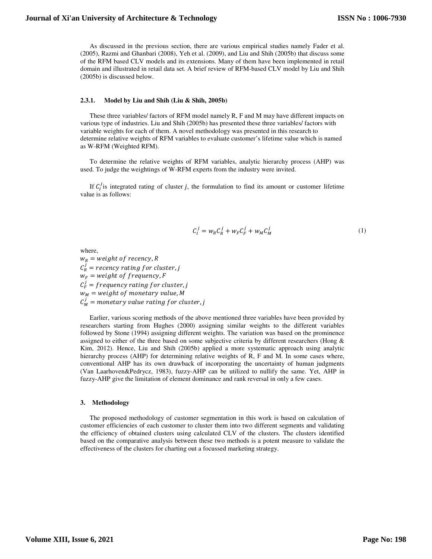As discussed in the previous section, there are various empirical studies namely Fader et al. (2005), Razmi and Ghanbari (2008), Yeh et al. (2009), and Liu and Shih (2005b) that discuss some of the RFM based CLV models and its extensions. Many of them have been implemented in retail domain and illustrated in retail data set. A brief review of RFM-based CLV model by Liu and Shih (2005b) is discussed below.

#### **2.3.1. Model by Liu and Shih (Liu & Shih, 2005b)**

These three variables/ factors of RFM model namely R, F and M may have different impacts on various type of industries. Liu and Shih (2005b) has presented these three variables/ factors with variable weights for each of them. A novel methodology was presented in this research to determine relative weights of RFM variables to evaluate customer's lifetime value which is named as W-RFM (Weighted RFM).

To determine the relative weights of RFM variables, analytic hierarchy process (AHP) was used. To judge the weightings of W-RFM experts from the industry were invited.

If  $C_l^j$  is integrated rating of cluster *j*, the formulation to find its amount or customer lifetime value is as follows:

$$
C_l^j = w_R C_R^j + w_F C_F^j + w_M C_M^j \tag{1}
$$

where,

 $w_R$  = weight of recency, R  $C_R^j$  = recency rating for cluster, j  $w_F = weight \ of \ frequency, F$  $C_F^j$  = frequency rating for cluster, j  $w_M$  = weight of monetary value, M  $C_M^j$  = monetary value rating for cluster, j

Earlier, various scoring methods of the above mentioned three variables have been provided by researchers starting from Hughes (2000) assigning similar weights to the different variables followed by Stone (1994) assigning different weights. The variation was based on the prominence assigned to either of the three based on some subjective criteria by different researchers (Hong & Kim, 2012). Hence, Liu and Shih (2005b) applied a more systematic approach using analytic hierarchy process (AHP) for determining relative weights of R, F and M. In some cases where, conventional AHP has its own drawback of incorporating the uncertainty of human judgments (Van Laarhoven&Pedrycz, 1983), fuzzy-AHP can be utilized to nullify the same. Yet, AHP in fuzzy-AHP give the limitation of element dominance and rank reversal in only a few cases.

### **3. Methodology**

The proposed methodology of customer segmentation in this work is based on calculation of customer efficiencies of each customer to cluster them into two different segments and validating the efficiency of obtained clusters using calculated CLV of the clusters. The clusters identified based on the comparative analysis between these two methods is a potent measure to validate the effectiveness of the clusters for charting out a focussed marketing strategy.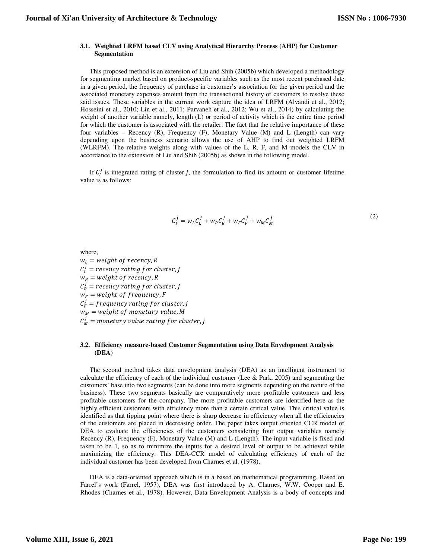#### **3.1. Weighted LRFM based CLV using Analytical Hierarchy Process (AHP) for Customer Segmentation**

This proposed method is an extension of Liu and Shih (2005b) which developed a methodology for segmenting market based on product-specific variables such as the most recent purchased date in a given period, the frequency of purchase in customer's association for the given period and the associated monetary expenses amount from the transactional history of customers to resolve these said issues. These variables in the current work capture the idea of LRFM (Alvandi et al., 2012; Hosseini et al., 2010; Lin et al., 2011; Parvaneh et al., 2012; Wu et al., 2014) by calculating the weight of another variable namely, length (L) or period of activity which is the entire time period for which the customer is associated with the retailer. The fact that the relative importance of these four variables – Recency (R), Frequency (F), Monetary Value (M) and L (Length) can vary depending upon the business scenario allows the use of AHP to find out weighted LRFM (WLRFM). The relative weights along with values of the L, R, F, and M models the CLV in accordance to the extension of Liu and Shih (2005b) as shown in the following model.

If  $C_l^j$  is integrated rating of cluster *j*, the formulation to find its amount or customer lifetime value is as follows:

$$
C_I^j = w_L C_L^j + w_R C_R^j + w_F C_F^j + w_M C_M^j
$$
 (2)

where,

 $w_L$  = weight of recency, R  $C_L^j$  = recency rating for cluster, j  $w_R$  = weight of recency, R  $C_R^j$  = recency rating for cluster, j  $W_F$  = weight of frequency, F  $C_F^j$  = frequency rating for cluster, j  $w_M$  = weight of monetary value, M  $C_M^j$  = monetary value rating for cluster, j

#### **3.2. Efficiency measure-based Customer Segmentation using Data Envelopment Analysis (DEA)**

The second method takes data envelopment analysis (DEA) as an intelligent instrument to calculate the efficiency of each of the individual customer (Lee & Park, 2005) and segmenting the customers' base into two segments (can be done into more segments depending on the nature of the business). These two segments basically are comparatively more profitable customers and less profitable customers for the company. The more profitable customers are identified here as the highly efficient customers with efficiency more than a certain critical value. This critical value is identified as that tipping point where there is sharp decrease in efficiency when all the efficiencies of the customers are placed in decreasing order. The paper takes output oriented CCR model of DEA to evaluate the efficiencies of the customers considering four output variables namely Recency (R), Frequency (F), Monetary Value (M) and L (Length). The input variable is fixed and taken to be 1, so as to minimize the inputs for a desired level of output to be achieved while maximizing the efficiency. This DEA-CCR model of calculating efficiency of each of the individual customer has been developed from Charnes et al. (1978).

DEA is a data-oriented approach which is in a based on mathematical programming. Based on Farrel's work (Farrel, 1957), DEA was first introduced by A. Charnes, W.W. Cooper and E. Rhodes (Charnes et al., 1978). However, Data Envelopment Analysis is a body of concepts and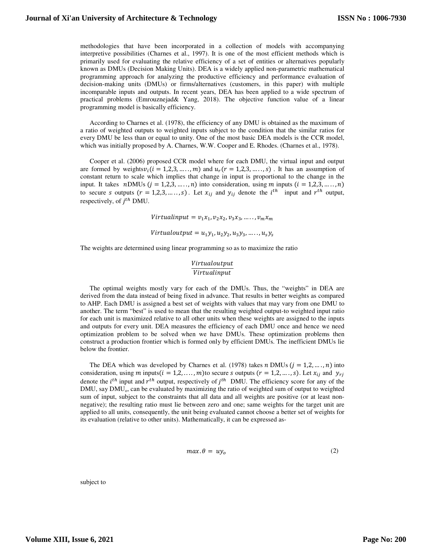methodologies that have been incorporated in a collection of models with accompanying interpretive possibilities (Charnes et al., 1997). It is one of the most efficient methods which is primarily used for evaluating the relative efficiency of a set of entities or alternatives popularly known as DMUs (Decision Making Units). DEA is a widely applied non-parametric mathematical programming approach for analyzing the productive efficiency and performance evaluation of decision-making units (DMUs) or firms/alternatives (customers, in this paper) with multiple incomparable inputs and outputs. In recent years, DEA has been applied to a wide spectrum of practical problems (Emrouznejad& Yang, 2018). The objective function value of a linear programming model is basically efficiency.

According to Charnes et al. (1978), the efficiency of any DMU is obtained as the maximum of a ratio of weighted outputs to weighted inputs subject to the condition that the similar ratios for every DMU be less than or equal to unity. One of the most basic DEA models is the CCR model, which was initially proposed by A. Charnes, W.W. Cooper and E. Rhodes. (Charnes et al., 1978).

Cooper et al. (2006) proposed CCR model where for each DMU, the virtual input and output are formed by weights  $v_i$  ( $i = 1, 2, 3, \ldots, m$ ) and  $u_r$  ( $r = 1, 2, 3, \ldots, s$ ). It has an assumption of constant return to scale which implies that change in input is proportional to the change in the input. It takes  $nDMUs (j = 1,2,3, \ldots, n)$  into consideration, using  $m$  inputs  $(i = 1,2,3, \ldots, n)$ to secure s outputs  $(r = 1, 2, 3, ..., s)$ . Let  $x_{ij}$  and  $y_{ij}$  denote the  $i^{th}$  input and  $r^{th}$  output, respectively, of  $j^{th}$  DMU.

 $Virtual input = v<sub>1</sub>x<sub>1</sub>, v<sub>2</sub>x<sub>2</sub>, v<sub>3</sub>x<sub>3</sub>, ......., v<sub>m</sub>x<sub>m</sub>$ 

 $Virtualoutput = u_1y_1, u_2y_2, u_3y_3, \ldots, u_sy_s$ 

The weights are determined using linear programming so as to maximize the ratio

# Virtualoutput  $Virtualinput$

The optimal weights mostly vary for each of the DMUs. Thus, the "weights" in DEA are derived from the data instead of being fixed in advance. That results in better weights as compared to AHP. Each DMU is assigned a best set of weights with values that may vary from one DMU to another. The term "best" is used to mean that the resulting weighted output-to weighted input ratio for each unit is maximized relative to all other units when these weights are assigned to the inputs and outputs for every unit. DEA measures the efficiency of each DMU once and hence we need optimization problem to be solved when we have DMUs. These optimization problems then construct a production frontier which is formed only by efficient DMUs. The inefficient DMUs lie below the frontier.

The DEA which was developed by Charnes et al. (1978) takes  $n$  DMUs  $(j = 1, 2, ..., n)$  into consideration, using m inputs( $i = 1, 2, ..., m$ ) to secure *s* outputs ( $r = 1, 2, ..., s$ ). Let  $x_{ij}$  and  $y_{ri}$ denote the  $i^{th}$  input and  $r^{th}$  output, respectively of  $j^{th}$  DMU. The efficiency score for any of the DMU, say DMU<sub>0</sub>, can be evaluated by maximizing the ratio of weighted sum of output to weighted sum of input, subject to the constraints that all data and all weights are positive (or at least nonnegative); the resulting ratio must lie between zero and one; same weights for the target unit are applied to all units, consequently, the unit being evaluated cannot choose a better set of weights for its evaluation (relative to other units). Mathematically, it can be expressed as-

$$
max. \theta = uy_o \tag{2}
$$

subject to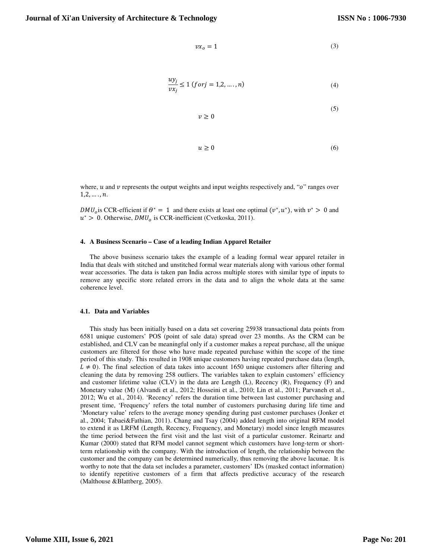(5)

$$
vx_o = 1\tag{3}
$$

$$
\frac{uy_j}{vx_j} \le 1 \ (for j = 1, 2, \dots, n)
$$
\n<sup>(4)</sup>

$$
v\geq 0
$$

$$
u \ge 0 \tag{6}
$$

where,  $u$  and  $v$  represents the output weights and input weights respectively and, " $o$ " ranges over  $1, 2, \ldots, n$ .

 $DMU<sub>o</sub>$  is CCR-efficient if  $\theta^* = 1$  and there exists at least one optimal  $(v^*, u^*)$ , with  $v^* > 0$  and  $u^*$  > 0. Otherwise,  $DMU_o$  is CCR-inefficient (Cvetkoska, 2011).

#### **4. A Business Scenario – Case of a leading Indian Apparel Retailer**

The above business scenario takes the example of a leading formal wear apparel retailer in India that deals with stitched and unstitched formal wear materials along with various other formal wear accessories. The data is taken pan India across multiple stores with similar type of inputs to remove any specific store related errors in the data and to align the whole data at the same coherence level.

#### **4.1. Data and Variables**

This study has been initially based on a data set covering 25938 transactional data points from 6581 unique customers' POS (point of sale data) spread over 23 months. As the CRM can be established, and CLV can be meaningful only if a customer makes a repeat purchase, all the unique customers are filtered for those who have made repeated purchase within the scope of the time period of this study. This resulted in 1908 unique customers having repeated purchase data (length,  $L \neq 0$ ). The final selection of data takes into account 1650 unique customers after filtering and cleaning the data by removing 258 outliers. The variables taken to explain customers' efficiency and customer lifetime value (CLV) in the data are Length (L), Recency (R), Frequency (F) and Monetary value (M) (Alvandi et al., 2012; Hosseini et al., 2010; Lin et al., 2011; Parvaneh et al., 2012; Wu et al., 2014). 'Recency' refers the duration time between last customer purchasing and present time, 'Frequency' refers the total number of customers purchasing during life time and 'Monetary value' refers to the average money spending during past customer purchases (Jonker et al., 2004; Tabaei&Fathian, 2011). Chang and Tsay (2004) added length into original RFM model to extend it as LRFM (Length, Recency, Frequency, and Monetary) model since length measures the time period between the first visit and the last visit of a particular customer. Reinartz and Kumar (2000) stated that RFM model cannot segment which customers have long-term or shortterm relationship with the company. With the introduction of length, the relationship between the customer and the company can be determined numerically, thus removing the above lacunae. It is worthy to note that the data set includes a parameter, customers' IDs (masked contact information) to identify repetitive customers of a firm that affects predictive accuracy of the research (Malthouse &Blattberg, 2005).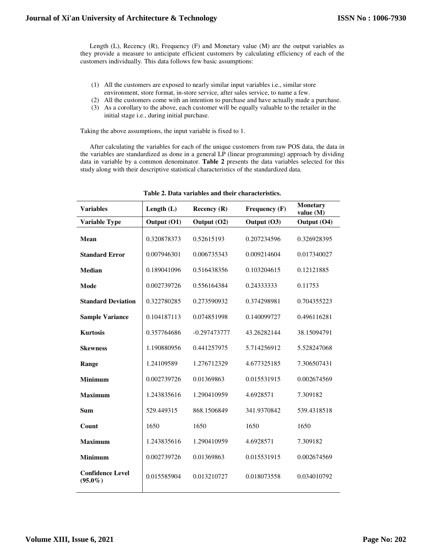Length (L), Recency (R), Frequency (F) and Monetary value (M) are the output variables as they provide a measure to anticipate efficient customers by calculating efficiency of each of the customers individually. This data follows few basic assumptions:

- (1) All the customers are exposed to nearly similar input variables i.e., similar store environment, store format, in-store service, after sales service, to name a few.
- (2) All the customers come with an intention to purchase and have actually made a purchase.
- (3) As a corollary to the above, each customer will be equally valuable to the retailer in the initial stage i.e., during initial purchase.

Taking the above assumptions, the input variable is fixed to 1.

After calculating the variables for each of the unique customers from raw POS data, the data in the variables are standardized as done in a general LP (linear programming) approach by dividing data in variable by a common denominator. **Table 2** presents the data variables selected for this study along with their descriptive statistical characteristics of the standardized data.

| <b>Variables</b>                      | Length $(L)$ | Recency $(R)$  | Frequency (F) | <b>Monetary</b><br>value $(M)$ |
|---------------------------------------|--------------|----------------|---------------|--------------------------------|
| <b>Variable Type</b>                  | Output (O1)  | Output (O2)    | Output (O3)   | Output (O4)                    |
| Mean                                  | 0.320878373  | 0.52615193     | 0.207234596   | 0.326928395                    |
| <b>Standard Error</b>                 | 0.007946301  | 0.006735343    | 0.009214604   | 0.017340027                    |
| <b>Median</b>                         | 0.189041096  | 0.516438356    | 0.103204615   | 0.12121885                     |
| Mode                                  | 0.002739726  | 0.556164384    | 0.24333333    | 0.11753                        |
| <b>Standard Deviation</b>             | 0.322780285  | 0.273590932    | 0.374298981   | 0.704355223                    |
| <b>Sample Variance</b>                | 0.104187113  | 0.074851998    | 0.140099727   | 0.496116281                    |
| <b>Kurtosis</b>                       | 0.357764686  | $-0.297473777$ | 43.26282144   | 38.15094791                    |
| <b>Skewness</b>                       | 1.190880956  | 0.441257975    | 5.714256912   | 5.528247068                    |
| Range                                 | 1.24109589   | 1.276712329    | 4.677325185   | 7.306507431                    |
| <b>Minimum</b>                        | 0.002739726  | 0.01369863     | 0.015531915   | 0.002674569                    |
| <b>Maximum</b>                        | 1.243835616  | 1.290410959    | 4.6928571     | 7.309182                       |
| <b>Sum</b>                            | 529.449315   | 868.1506849    | 341.9370842   | 539.4318518                    |
| Count                                 | 1650         | 1650           | 1650          | 1650                           |
| <b>Maximum</b>                        | 1.243835616  | 1.290410959    | 4.6928571     | 7.309182                       |
| <b>Minimum</b>                        | 0.002739726  | 0.01369863     | 0.015531915   | 0.002674569                    |
| <b>Confidence Level</b><br>$(95.0\%)$ | 0.015585904  | 0.013210727    | 0.018073558   | 0.034010792                    |

**Table 2. Data variables and their characteristics.**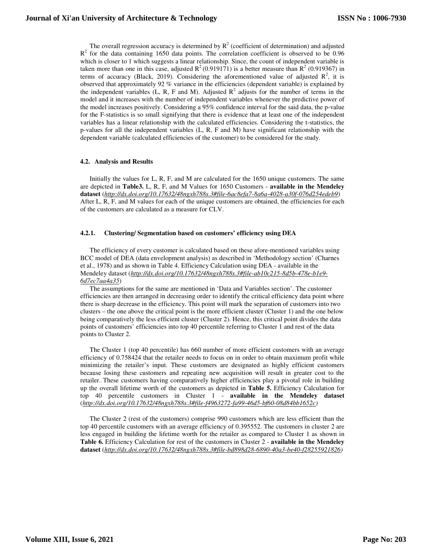The overall regression accuracy is determined by  $R^2$  (coefficient of determination) and adjusted  $R<sup>2</sup>$  for the data containing 1650 data points. The correlation coefficient is observed to be 0.96 which is closer to 1 which suggests a linear relationship. Since, the count of independent variable is taken more than one in this case, adjusted  $R^2(0.919171)$  is a better measure than  $R^2(0.919367)$  in terms of accuracy (Black, 2019). Considering the aforementioned value of adjusted  $\mathbb{R}^2$ , it is observed that approximately 92 % variance in the efficiencies (dependent variable) is explained by the independent variables  $(L, R, F$  and M). Adjusted  $R<sup>2</sup>$  adjusts for the number of terms in the model and it increases with the number of independent variables whenever the predictive power of the model increases positively. Considering a 95% confidence interval for the said data, the p-value for the F-statistics is so small signifying that there is evidence that at least one of the independent variables has a linear relationship with the calculated efficiencies. Considering the t-statistics, the p-values for all the independent variables (L, R, F and M) have significant relationship with the dependent variable (calculated efficiencies of the customer) to be considered for the study.

# **4.2. Analysis and Results**

Initially the values for L, R, F, and M are calculated for the 1650 unique customers. The same are depicted in **Table3.** L, R, F, and M Values for 1650 Customers - **available in the Mendeley dataset** (*http://dx.doi.org/10.17632/48ngxh788s.3#file-6ac8efa7-8a6a-4028-a30f-076d254edeb9*) After L, R, F, and M values for each of the unique customers are obtained, the efficiencies for each of the customers are calculated as a measure for CLV.

#### **4.2.1. Clustering/ Segmentation based on customers' efficiency using DEA**

The efficiency of every customer is calculated based on these afore-mentioned variables using BCC model of DEA (data envelopment analysis) as described in 'Methodology section' (Charnes et al., 1978) and as shown in Table 4. Efficiency Calculation using DEA - available in the Mendeley dataset (*http://dx.doi.org/10.17632/48ngxh788s.3#file-ab10c215-8d5b-478e-b1e9- 6d7ec7aa4a35*)

The assumptions for the same are mentioned in 'Data and Variables section'. The customer efficiencies are then arranged in decreasing order to identify the critical efficiency data point where there is sharp decrease in the efficiency. This point will mark the separation of customers into two clusters – the one above the critical point is the more efficient cluster (Cluster 1) and the one below being comparatively the less efficient cluster (Cluster 2). Hence, this critical point divides the data points of customers' efficiencies into top 40 percentile referring to Cluster 1 and rest of the data points to Cluster 2.

The Cluster 1 (top 40 percentile) has 660 number of more efficient customers with an average efficiency of 0.758424 that the retailer needs to focus on in order to obtain maximum profit while minimizing the retailer's input. These customers are designated as highly efficient customers because losing these customers and repeating new acquisition will result in greater cost to the retailer. These customers having comparatively higher efficiencies play a pivotal role in building up the overall lifetime worth of the customers as depicted in **Table 5.** Efficiency Calculation for top 40 percentile customers in Cluster 1 - **available in the Mendeley dataset** (*http://dx.doi.org/10.17632/48ngxh788s.3#file-f4963272-fa99-46d5-bf60-08d84bb1652c)*

The Cluster 2 (rest of the customers) comprise 990 customers which are less efficient than the top 40 percentile customers with an average efficiency of 0.395552. The customers in cluster 2 are less engaged in building the lifetime worth for the retailer as compared to Cluster 1 as shown in **Table 6.** Efficiency Calculation for rest of the customers in Cluster 2 - **available in the Mendeley dataset** (*http://dx.doi.org/10.17632/48ngxh788s.3#file-bd898d28-6890-40a3-be40-f28255921826)*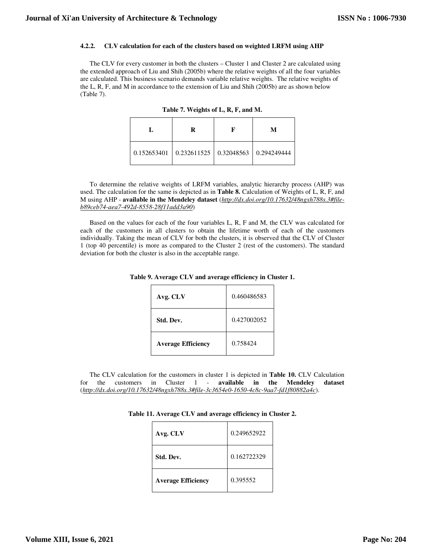#### **4.2.2. CLV calculation for each of the clusters based on weighted LRFM using AHP**

The CLV for every customer in both the clusters – Cluster 1 and Cluster 2 are calculated using the extended approach of Liu and Shih (2005b) where the relative weights of all the four variables are calculated. This business scenario demands variable relative weights. The relative weights of the L, R, F, and M in accordance to the extension of Liu and Shih (2005b) are as shown below (Table 7).

| R                                                           | М |
|-------------------------------------------------------------|---|
| $\mid$ 0.152653401   0.232611525   0.32048563   0.294249444 |   |

| Table 7. Weights of L, R, F, and M. |  |  |
|-------------------------------------|--|--|
|-------------------------------------|--|--|

To determine the relative weights of LRFM variables, analytic hierarchy process (AHP) was used. The calculation for the same is depicted as in **Table 8.** Calculation of Weights of L, R, F, and M using AHP - **available in the Mendeley dataset** (*http://dx.doi.org/10.17632/48ngxh788s.3#fileb89ceb74-aea7-492d-8558-28f11add3a90*)

Based on the values for each of the four variables L, R, F and M, the CLV was calculated for each of the customers in all clusters to obtain the lifetime worth of each of the customers individually. Taking the mean of CLV for both the clusters, it is observed that the CLV of Cluster 1 (top 40 percentile) is more as compared to the Cluster 2 (rest of the customers). The standard deviation for both the cluster is also in the acceptable range.

| Avg. CLV                  | 0.460486583 |
|---------------------------|-------------|
| Std. Dev.                 | 0.427002052 |
| <b>Average Efficiency</b> | 0.758424    |

| Table 9. Average CLV and average efficiency in Cluster 1. |  |  |  |
|-----------------------------------------------------------|--|--|--|
|-----------------------------------------------------------|--|--|--|

The CLV calculation for the customers in cluster 1 is depicted in **Table 10.** CLV Calculation for the customers in Cluster 1 - **available in the Mendeley dataset** (*http://dx.doi.org/10.17632/48ngxh788s.3#file-3c3654e0-1650-4c8c-9aa7-fd1f80882a4c*).

| Avg. CLV                  | 0.249652922 |
|---------------------------|-------------|
| Std. Dev.                 | 0.162722329 |
| <b>Average Efficiency</b> | 0.395552    |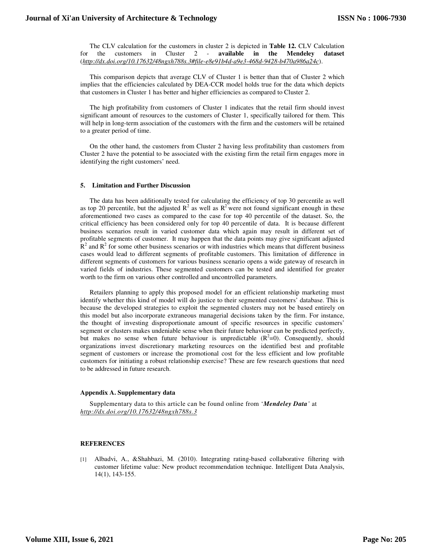The CLV calculation for the customers in cluster 2 is depicted in **Table 12.** CLV Calculation for the customers in Cluster 2 - **available in the Mendeley dataset** (*http://dx.doi.org/10.17632/48ngxh788s.3#file-e8e91b4d-a9e3-468d-9428-b470a986a24c*).

This comparison depicts that average CLV of Cluster 1 is better than that of Cluster 2 which implies that the efficiencies calculated by DEA-CCR model holds true for the data which depicts that customers in Cluster 1 has better and higher efficiencies as compared to Cluster 2.

The high profitability from customers of Cluster 1 indicates that the retail firm should invest significant amount of resources to the customers of Cluster 1, specifically tailored for them. This will help in long-term association of the customers with the firm and the customers will be retained to a greater period of time.

On the other hand, the customers from Cluster 2 having less profitability than customers from Cluster 2 have the potential to be associated with the existing firm the retail firm engages more in identifying the right customers' need.

#### **5. Limitation and Further Discussion**

The data has been additionally tested for calculating the efficiency of top 30 percentile as well as top 20 percentile, but the adjusted  $R^2$  as well as  $R^2$  were not found significant enough in these aforementioned two cases as compared to the case for top 40 percentile of the dataset. So, the critical efficiency has been considered only for top 40 percentile of data. It is because different business scenarios result in varied customer data which again may result in different set of profitable segments of customer. It may happen that the data points may give significant adjusted  $\mathbb{R}^2$  and  $\mathbb{R}^2$  for some other business scenarios or with industries which means that different business cases would lead to different segments of profitable customers. This limitation of difference in different segments of customers for various business scenario opens a wide gateway of research in varied fields of industries. These segmented customers can be tested and identified for greater worth to the firm on various other controlled and uncontrolled parameters.

Retailers planning to apply this proposed model for an efficient relationship marketing must identify whether this kind of model will do justice to their segmented customers' database. This is because the developed strategies to exploit the segmented clusters may not be based entirely on this model but also incorporate extraneous managerial decisions taken by the firm. For instance, the thought of investing disproportionate amount of specific resources in specific customers' segment or clusters makes undeniable sense when their future behaviour can be predicted perfectly, but makes no sense when future behaviour is unpredictable  $(R^2=0)$ . Consequently, should organizations invest discretionary marketing resources on the identified best and profitable segment of customers or increase the promotional cost for the less efficient and low profitable customers for initiating a robust relationship exercise? These are few research questions that need to be addressed in future research.

#### **Appendix A. Supplementary data**

Supplementary data to this article can be found online from '*Mendeley Data'* at *http://dx.doi.org/10.17632/48ngxh788s.3*

### **REFERENCES**

[1] Albadvi, A., &Shahbazi, M. (2010). Integrating rating-based collaborative filtering with customer lifetime value: New product recommendation technique. Intelligent Data Analysis, 14(1), 143-155.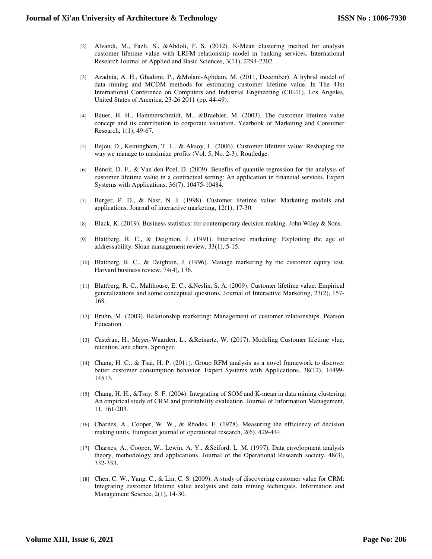- [2] Alvandi, M., Fazli, S., &Abdoli, F. S. (2012). K-Mean clustering method for analysis customer lifetime value with LRFM relationship model in banking services. International Research Journal of Applied and Basic Sciences, 3(11), 2294-2302.
- [3] Azadnia, A. H., Ghadimi, P., &Molani-Aghdam, M. (2011, December). A hybrid model of data mining and MCDM methods for estimating customer lifetime value. In The 41st International Conference on Computers and Industrial Engineering (CIE41), Los Angeles, United States of America, 23-26 2011 (pp. 44-49).
- [4] Bauer, H. H., Hammerschmidt, M., &Braehler, M. (2003). The customer lifetime value concept and its contribution to corporate valuation. Yearbook of Marketing and Consumer Research, 1(1), 49-67.
- [5] Bejou, D., Keiningham, T. L., & Aksoy, L. (2006). Customer lifetime value: Reshaping the way we manage to maximize profits (Vol. 5, No. 2-3). Routledge.
- [6] Benoit, D. F., & Van den Poel, D. (2009). Benefits of quantile regression for the analysis of customer lifetime value in a contractual setting: An application in financial services. Expert Systems with Applications, 36(7), 10475-10484.
- [7] Berger, P. D., & Nasr, N. I. (1998). Customer lifetime value: Marketing models and applications. Journal of interactive marketing, 12(1), 17-30.
- [8] Black, K. (2019). Business statistics: for contemporary decision making. John Wiley & Sons.
- [9] Blattberg, R. C., & Deighton, J. (1991). Interactive marketing: Exploiting the age of addressability. Sloan management review, 33(1), 5-15.
- [10] Blattberg, R. C., & Deighton, J. (1996). Manage marketing by the customer equity test. Harvard business review, 74(4), 136.
- [11] Blattberg, R. C., Malthouse, E. C., &Neslin, S. A. (2009). Customer lifetime value: Empirical generalizations and some conceptual questions. Journal of Interactive Marketing, 23(2), 157- 168.
- [12] Bruhn, M. (2003). Relationship marketing: Management of customer relationships. Pearson Education.
- [13] Castéran, H., Meyer-Waarden, L., &Reinartz, W. (2017). Modeling Customer lifetime vlue, retention, and churn. Springer.
- [14] Chang, H. C., & Tsai, H. P. (2011). Group RFM analysis as a novel framework to discover better customer consumption behavior. Expert Systems with Applications, 38(12), 14499- 14513.
- [15] Chang, H. H., &Tsay, S. F. (2004). Integrating of SOM and K-mean in data mining clustering: An empirical study of CRM and profitability evaluation. Journal of Information Management, 11, 161-203.
- [16] Charnes, A., Cooper, W. W., & Rhodes, E. (1978). Measuring the efficiency of decision making units. European journal of operational research, 2(6), 429-444.
- [17] Charnes, A., Cooper, W., Lewin, A. Y., &Seiford, L. M. (1997). Data envelopment analysis theory, methodology and applications. Journal of the Operational Research society, 48(3), 332-333.
- [18] Chen, C. W., Yang, C., & Lin, C. S. (2009). A study of discovering customer value for CRM: Integrating customer lifetime value analysis and data mining techniques. Information and Management Science, 2(1), 14-30.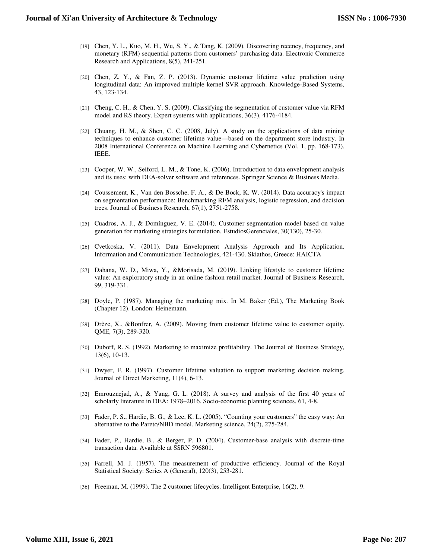- [19] Chen, Y. L., Kuo, M. H., Wu, S. Y., & Tang, K. (2009). Discovering recency, frequency, and monetary (RFM) sequential patterns from customers' purchasing data. Electronic Commerce Research and Applications, 8(5), 241-251.
- [20] Chen, Z. Y., & Fan, Z. P. (2013). Dynamic customer lifetime value prediction using longitudinal data: An improved multiple kernel SVR approach. Knowledge-Based Systems, 43, 123-134.
- [21] Cheng, C. H., & Chen, Y. S. (2009). Classifying the segmentation of customer value via RFM model and RS theory. Expert systems with applications, 36(3), 4176-4184.
- [22] Chuang, H. M., & Shen, C. C. (2008, July). A study on the applications of data mining techniques to enhance customer lifetime value—based on the department store industry. In 2008 International Conference on Machine Learning and Cybernetics (Vol. 1, pp. 168-173). IEEE.
- [23] Cooper, W. W., Seiford, L. M., & Tone, K. (2006). Introduction to data envelopment analysis and its uses: with DEA-solver software and references. Springer Science & Business Media.
- [24] Coussement, K., Van den Bossche, F. A., & De Bock, K. W. (2014). Data accuracy's impact on segmentation performance: Benchmarking RFM analysis, logistic regression, and decision trees. Journal of Business Research, 67(1), 2751-2758.
- [25] Cuadros, A. J., & Domínguez, V. E. (2014). Customer segmentation model based on value generation for marketing strategies formulation. EstudiosGerenciales, 30(130), 25-30.
- [26] Cvetkoska, V. (2011). Data Envelopment Analysis Approach and Its Application. Information and Communication Technologies, 421-430. Skiathos, Greece: HAICTA
- [27] Dahana, W. D., Miwa, Y., &Morisada, M. (2019). Linking lifestyle to customer lifetime value: An exploratory study in an online fashion retail market. Journal of Business Research, 99, 319-331.
- [28] Doyle, P. (1987). Managing the marketing mix. In M. Baker (Ed.), The Marketing Book (Chapter 12). London: Heinemann.
- [29] Drèze, X., &Bonfrer, A. (2009). Moving from customer lifetime value to customer equity. QME, 7(3), 289-320.
- [30] Duboff, R. S. (1992). Marketing to maximize profitability. The Journal of Business Strategy, 13(6), 10-13.
- [31] Dwyer, F. R. (1997). Customer lifetime valuation to support marketing decision making. Journal of Direct Marketing, 11(4), 6-13.
- [32] Emrouznejad, A., & Yang, G. L. (2018). A survey and analysis of the first 40 years of scholarly literature in DEA: 1978–2016. Socio-economic planning sciences, 61, 4-8.
- [33] Fader, P. S., Hardie, B. G., & Lee, K. L. (2005). "Counting your customers" the easy way: An alternative to the Pareto/NBD model. Marketing science, 24(2), 275-284.
- [34] Fader, P., Hardie, B., & Berger, P. D. (2004). Customer-base analysis with discrete-time transaction data. Available at SSRN 596801.
- [35] Farrell, M. J. (1957). The measurement of productive efficiency. Journal of the Royal Statistical Society: Series A (General), 120(3), 253-281.
- [36] Freeman, M. (1999). The 2 customer lifecycles. Intelligent Enterprise, 16(2), 9.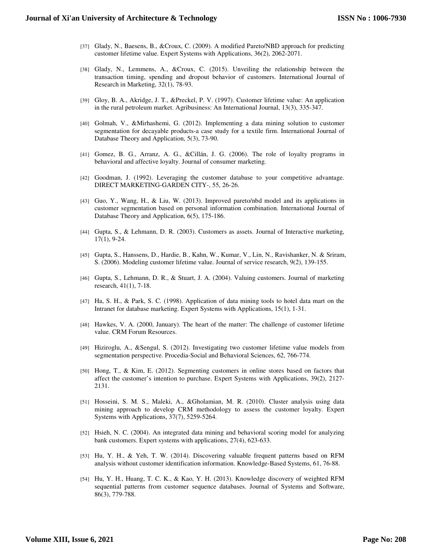- [37] Glady, N., Baesens, B., &Croux, C. (2009). A modified Pareto/NBD approach for predicting customer lifetime value. Expert Systems with Applications, 36(2), 2062-2071.
- [38] Glady, N., Lemmens, A., &Croux, C. (2015). Unveiling the relationship between the transaction timing, spending and dropout behavior of customers. International Journal of Research in Marketing, 32(1), 78-93.
- [39] Gloy, B. A., Akridge, J. T., &Preckel, P. V. (1997). Customer lifetime value: An application in the rural petroleum market. Agribusiness: An International Journal, 13(3), 335-347.
- [40] Golmah, V., &Mirhashemi, G. (2012). Implementing a data mining solution to customer segmentation for decayable products-a case study for a textile firm. International Journal of Database Theory and Application, 5(3), 73-90.
- [41] Gomez, B. G., Arranz, A. G., &Cillán, J. G. (2006). The role of loyalty programs in behavioral and affective loyalty. Journal of consumer marketing.
- [42] Goodman, J. (1992). Leveraging the customer database to your competitive advantage. DIRECT MARKETING-GARDEN CITY-, 55, 26-26.
- [43] Guo, Y., Wang, H., & Liu, W. (2013). Improved pareto/nbd model and its applications in customer segmentation based on personal information combination. International Journal of Database Theory and Application, 6(5), 175-186.
- [44] Gupta, S., & Lehmann, D. R. (2003). Customers as assets. Journal of Interactive marketing, 17(1), 9-24.
- [45] Gupta, S., Hanssens, D., Hardie, B., Kahn, W., Kumar, V., Lin, N., Ravishanker, N. & Sriram, S. (2006). Modeling customer lifetime value. Journal of service research, 9(2), 139-155.
- [46] Gupta, S., Lehmann, D. R., & Stuart, J. A. (2004). Valuing customers. Journal of marketing research, 41(1), 7-18.
- [47] Ha, S. H., & Park, S. C. (1998). Application of data mining tools to hotel data mart on the Intranet for database marketing. Expert Systems with Applications, 15(1), 1-31.
- [48] Hawkes, V. A. (2000, January). The heart of the matter: The challenge of customer lifetime value. CRM Forum Resources.
- [49] Hiziroglu, A., &Sengul, S. (2012). Investigating two customer lifetime value models from segmentation perspective. Procedia-Social and Behavioral Sciences, 62, 766-774.
- [50] Hong, T., & Kim, E. (2012). Segmenting customers in online stores based on factors that affect the customer's intention to purchase. Expert Systems with Applications, 39(2), 2127- 2131.
- [51] Hosseini, S. M. S., Maleki, A., &Gholamian, M. R. (2010). Cluster analysis using data mining approach to develop CRM methodology to assess the customer loyalty. Expert Systems with Applications, 37(7), 5259-5264.
- [52] Hsieh, N. C. (2004). An integrated data mining and behavioral scoring model for analyzing bank customers. Expert systems with applications, 27(4), 623-633.
- [53] Hu, Y. H., & Yeh, T. W. (2014). Discovering valuable frequent patterns based on RFM analysis without customer identification information. Knowledge-Based Systems, 61, 76-88.
- [54] Hu, Y. H., Huang, T. C. K., & Kao, Y. H. (2013). Knowledge discovery of weighted RFM sequential patterns from customer sequence databases. Journal of Systems and Software, 86(3), 779-788.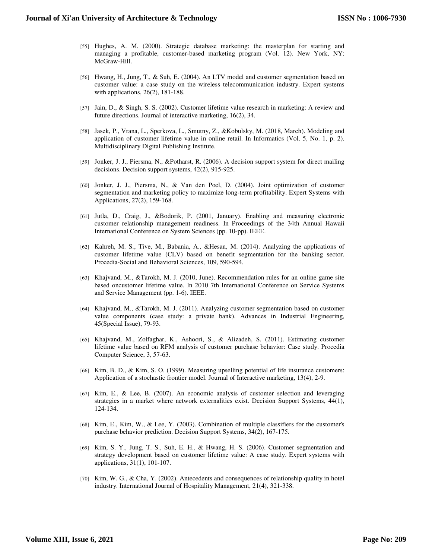- [55] Hughes, A. M. (2000). Strategic database marketing: the masterplan for starting and managing a profitable, customer-based marketing program (Vol. 12). New York, NY: McGraw-Hill.
- [56] Hwang, H., Jung, T., & Suh, E. (2004). An LTV model and customer segmentation based on customer value: a case study on the wireless telecommunication industry. Expert systems with applications, 26(2), 181-188.
- [57] Jain, D., & Singh, S. S. (2002). Customer lifetime value research in marketing: A review and future directions. Journal of interactive marketing, 16(2), 34.
- [58] Jasek, P., Vrana, L., Sperkova, L., Smutny, Z., &Kobulsky, M. (2018, March). Modeling and application of customer lifetime value in online retail. In Informatics (Vol. 5, No. 1, p. 2). Multidisciplinary Digital Publishing Institute.
- [59] Jonker, J. J., Piersma, N., &Potharst, R. (2006). A decision support system for direct mailing decisions. Decision support systems, 42(2), 915-925.
- [60] Jonker, J. J., Piersma, N., & Van den Poel, D. (2004). Joint optimization of customer segmentation and marketing policy to maximize long-term profitability. Expert Systems with Applications, 27(2), 159-168.
- [61] Jutla, D., Craig, J., &Bodorik, P. (2001, January). Enabling and measuring electronic customer relationship management readiness. In Proceedings of the 34th Annual Hawaii International Conference on System Sciences (pp. 10-pp). IEEE.
- [62] Kahreh, M. S., Tive, M., Babania, A., &Hesan, M. (2014). Analyzing the applications of customer lifetime value (CLV) based on benefit segmentation for the banking sector. Procedia-Social and Behavioral Sciences, 109, 590-594.
- [63] Khajvand, M., &Tarokh, M. J. (2010, June). Recommendation rules for an online game site based oncustomer lifetime value. In 2010 7th International Conference on Service Systems and Service Management (pp. 1-6). IEEE.
- [64] Khajvand, M., &Tarokh, M. J. (2011). Analyzing customer segmentation based on customer value components (case study: a private bank). Advances in Industrial Engineering, 45(Special Issue), 79-93.
- [65] Khajvand, M., Zolfaghar, K., Ashoori, S., & Alizadeh, S. (2011). Estimating customer lifetime value based on RFM analysis of customer purchase behavior: Case study. Procedia Computer Science, 3, 57-63.
- [66] Kim, B. D., & Kim, S. O. (1999). Measuring upselling potential of life insurance customers: Application of a stochastic frontier model. Journal of Interactive marketing, 13(4), 2-9.
- [67] Kim, E., & Lee, B. (2007). An economic analysis of customer selection and leveraging strategies in a market where network externalities exist. Decision Support Systems, 44(1), 124-134.
- [68] Kim, E., Kim, W., & Lee, Y. (2003). Combination of multiple classifiers for the customer's purchase behavior prediction. Decision Support Systems, 34(2), 167-175.
- [69] Kim, S. Y., Jung, T. S., Suh, E. H., & Hwang, H. S. (2006). Customer segmentation and strategy development based on customer lifetime value: A case study. Expert systems with applications, 31(1), 101-107.
- [70] Kim, W. G., & Cha, Y. (2002). Antecedents and consequences of relationship quality in hotel industry. International Journal of Hospitality Management, 21(4), 321-338.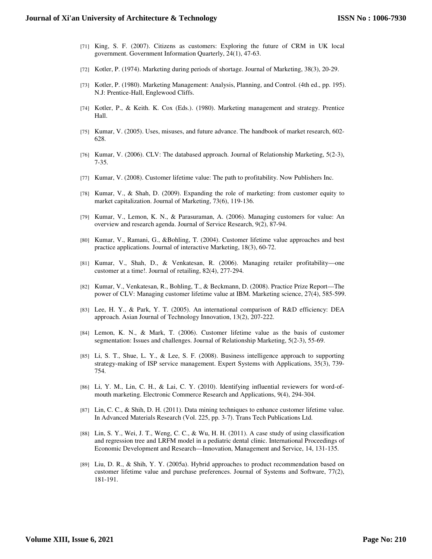- [71] King, S. F. (2007). Citizens as customers: Exploring the future of CRM in UK local government. Government Information Quarterly, 24(1), 47-63.
- [72] Kotler, P. (1974). Marketing during periods of shortage. Journal of Marketing, 38(3), 20-29.
- [73] Kotler, P. (1980). Marketing Management: Analysis, Planning, and Control. (4th ed., pp. 195). N.J: Prentice-Hall, Englewood Cliffs.
- [74] Kotler, P., & Keith. K. Cox (Eds.). (1980). Marketing management and strategy. Prentice Hall.
- [75] Kumar, V. (2005). Uses, misuses, and future advance. The handbook of market research, 602- 628.
- [76] Kumar, V. (2006). CLV: The databased approach. Journal of Relationship Marketing, 5(2-3), 7-35.
- [77] Kumar, V. (2008). Customer lifetime value: The path to profitability. Now Publishers Inc.
- [78] Kumar, V., & Shah, D. (2009). Expanding the role of marketing: from customer equity to market capitalization. Journal of Marketing, 73(6), 119-136.
- [79] Kumar, V., Lemon, K. N., & Parasuraman, A. (2006). Managing customers for value: An overview and research agenda. Journal of Service Research, 9(2), 87-94.
- [80] Kumar, V., Ramani, G., &Bohling, T. (2004). Customer lifetime value approaches and best practice applications. Journal of interactive Marketing, 18(3), 60-72.
- [81] Kumar, V., Shah, D., & Venkatesan, R. (2006). Managing retailer profitability—one customer at a time!. Journal of retailing, 82(4), 277-294.
- [82] Kumar, V., Venkatesan, R., Bohling, T., & Beckmann, D. (2008). Practice Prize Report—The power of CLV: Managing customer lifetime value at IBM. Marketing science, 27(4), 585-599.
- [83] Lee, H. Y., & Park, Y. T. (2005). An international comparison of R&D efficiency: DEA approach. Asian Journal of Technology Innovation, 13(2), 207-222.
- [84] Lemon, K. N., & Mark, T. (2006). Customer lifetime value as the basis of customer segmentation: Issues and challenges. Journal of Relationship Marketing, 5(2-3), 55-69.
- [85] Li, S. T., Shue, L. Y., & Lee, S. F. (2008). Business intelligence approach to supporting strategy-making of ISP service management. Expert Systems with Applications, 35(3), 739- 754.
- [86] Li, Y. M., Lin, C. H., & Lai, C. Y. (2010). Identifying influential reviewers for word-ofmouth marketing. Electronic Commerce Research and Applications, 9(4), 294-304.
- [87] Lin, C. C., & Shih, D. H. (2011). Data mining techniques to enhance customer lifetime value. In Advanced Materials Research (Vol. 225, pp. 3-7). Trans Tech Publications Ltd.
- [88] Lin, S. Y., Wei, J. T., Weng, C. C., & Wu, H. H. (2011). A case study of using classification and regression tree and LRFM model in a pediatric dental clinic. International Proceedings of Economic Development and Research—Innovation, Management and Service, 14, 131-135.
- [89] Liu, D. R., & Shih, Y. Y. (2005a). Hybrid approaches to product recommendation based on customer lifetime value and purchase preferences. Journal of Systems and Software, 77(2), 181-191.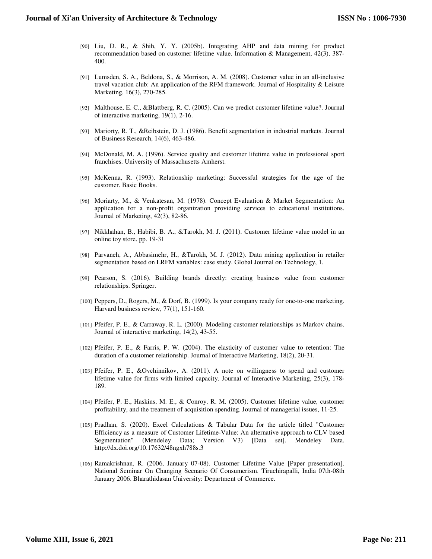- [90] Liu, D. R., & Shih, Y. Y. (2005b). Integrating AHP and data mining for product recommendation based on customer lifetime value. Information & Management, 42(3), 387- 400.
- [91] Lumsden, S. A., Beldona, S., & Morrison, A. M. (2008). Customer value in an all-inclusive travel vacation club: An application of the RFM framework. Journal of Hospitality & Leisure Marketing, 16(3), 270-285.
- [92] Malthouse, E. C., &Blattberg, R. C. (2005). Can we predict customer lifetime value?. Journal of interactive marketing, 19(1), 2-16.
- [93] Mariorty, R. T., &Reibstein, D. J. (1986). Benefit segmentation in industrial markets. Journal of Business Research, 14(6), 463-486.
- [94] McDonald, M. A. (1996). Service quality and customer lifetime value in professional sport franchises. University of Massachusetts Amherst.
- [95] McKenna, R. (1993). Relationship marketing: Successful strategies for the age of the customer. Basic Books.
- [96] Moriarty, M., & Venkatesan, M. (1978). Concept Evaluation & Market Segmentation: An application for a non-profit organization providing services to educational institutions. Journal of Marketing, 42(3), 82-86.
- [97] Nikkhahan, B., Habibi, B. A., &Tarokh, M. J. (2011). Customer lifetime value model in an online toy store. pp. 19-31
- [98] Parvaneh, A., Abbasimehr, H., &Tarokh, M. J. (2012). Data mining application in retailer segmentation based on LRFM variables: case study. Global Journal on Technology, 1.
- [99] Pearson, S. (2016). Building brands directly: creating business value from customer relationships. Springer.
- [100] Peppers, D., Rogers, M., & Dorf, B. (1999). Is your company ready for one-to-one marketing. Harvard business review, 77(1), 151-160.
- [101] Pfeifer, P. E., & Carraway, R. L. (2000). Modeling customer relationships as Markov chains. Journal of interactive marketing, 14(2), 43-55.
- [102] Pfeifer, P. E., & Farris, P. W. (2004). The elasticity of customer value to retention: The duration of a customer relationship. Journal of Interactive Marketing, 18(2), 20-31.
- [103] Pfeifer, P. E., &Ovchinnikov, A. (2011). A note on willingness to spend and customer lifetime value for firms with limited capacity. Journal of Interactive Marketing, 25(3), 178- 189.
- [104] Pfeifer, P. E., Haskins, M. E., & Conroy, R. M. (2005). Customer lifetime value, customer profitability, and the treatment of acquisition spending. Journal of managerial issues, 11-25.
- [105] Pradhan, S. (2020). Excel Calculations & Tabular Data for the article titled "Customer Efficiency as a measure of Customer Lifetime-Value: An alternative approach to CLV based Segmentation" (Mendeley Data; Version V3) [Data set]. Mendeley Data. http://dx.doi.org/10.17632/48ngxh788s.3
- [106] Ramakrishnan, R. (2006, January 07-08). Customer Lifetime Value [Paper presentation]. National Seminar On Changing Scenario Of Consumerism. Tiruchirapalli, India 07th-08th January 2006. Bharathidasan University: Department of Commerce.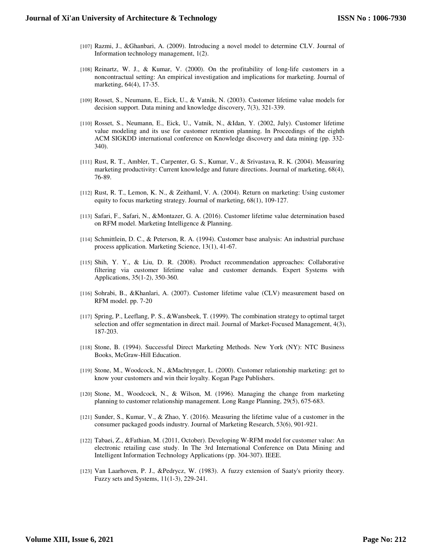- [107] Razmi, J., &Ghanbari, A. (2009). Introducing a novel model to determine CLV. Journal of Information technology management, 1(2).
- [108] Reinartz, W. J., & Kumar, V. (2000). On the profitability of long-life customers in a noncontractual setting: An empirical investigation and implications for marketing. Journal of marketing, 64(4), 17-35.
- [109] Rosset, S., Neumann, E., Eick, U., & Vatnik, N. (2003). Customer lifetime value models for decision support. Data mining and knowledge discovery, 7(3), 321-339.
- [110] Rosset, S., Neumann, E., Eick, U., Vatnik, N., &Idan, Y. (2002, July). Customer lifetime value modeling and its use for customer retention planning. In Proceedings of the eighth ACM SIGKDD international conference on Knowledge discovery and data mining (pp. 332- 340).
- [111] Rust, R. T., Ambler, T., Carpenter, G. S., Kumar, V., & Srivastava, R. K. (2004). Measuring marketing productivity: Current knowledge and future directions. Journal of marketing, 68(4), 76-89.
- [112] Rust, R. T., Lemon, K. N., & Zeithaml, V. A. (2004). Return on marketing: Using customer equity to focus marketing strategy. Journal of marketing, 68(1), 109-127.
- [113] Safari, F., Safari, N., &Montazer, G. A. (2016). Customer lifetime value determination based on RFM model. Marketing Intelligence & Planning.
- [114] Schmittlein, D. C., & Peterson, R. A. (1994). Customer base analysis: An industrial purchase process application. Marketing Science, 13(1), 41-67.
- [115] Shih, Y. Y., & Liu, D. R. (2008). Product recommendation approaches: Collaborative filtering via customer lifetime value and customer demands. Expert Systems with Applications, 35(1-2), 350-360.
- [116] Sohrabi, B., &Khanlari, A. (2007). Customer lifetime value (CLV) measurement based on RFM model. pp. 7-20
- [117] Spring, P., Leeflang, P. S., &Wansbeek, T. (1999). The combination strategy to optimal target selection and offer segmentation in direct mail. Journal of Market-Focused Management, 4(3), 187-203.
- [118] Stone, B. (1994). Successful Direct Marketing Methods. New York (NY): NTC Business Books, McGraw-Hill Education.
- [119] Stone, M., Woodcock, N., &Machtynger, L. (2000). Customer relationship marketing: get to know your customers and win their loyalty. Kogan Page Publishers.
- [120] Stone, M., Woodcock, N., & Wilson, M. (1996). Managing the change from marketing planning to customer relationship management. Long Range Planning, 29(5), 675-683.
- [121] Sunder, S., Kumar, V., & Zhao, Y. (2016). Measuring the lifetime value of a customer in the consumer packaged goods industry. Journal of Marketing Research, 53(6), 901-921.
- [122] Tabaei, Z., &Fathian, M. (2011, October). Developing W-RFM model for customer value: An electronic retailing case study. In The 3rd International Conference on Data Mining and Intelligent Information Technology Applications (pp. 304-307). IEEE.
- [123] Van Laarhoven, P. J., &Pedrycz, W. (1983). A fuzzy extension of Saaty's priority theory. Fuzzy sets and Systems, 11(1-3), 229-241.